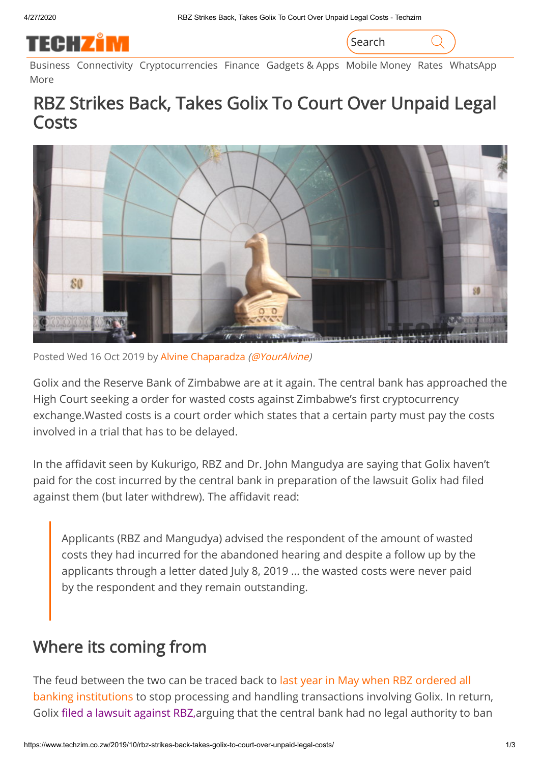

Search

[Business](https://www.techzim.co.zw/category/business/) [Connectivity](https://www.techzim.co.zw/category/telecoms/) [Cryptocurrencies](https://www.techzim.co.zw/category/cryptocurrencies/) [Finance](https://www.techzim.co.zw/category/finance/) [Gadgets](https://www.techzim.co.zw/category/gadgets-apps/) & Apps [Mobile](https://www.techzim.co.zw/category/mobile-money/) Money [Rates](https://www.techzim.co.zw/category/rates/) [WhatsApp](https://www.techzim.co.zw/category/whatsapp/) [More](https://www.techzim.co.zw/all-categories/)

## RBZ Strikes Back, Takes Golix To Court Over Unpaid Legal Costs



Posted Wed 16 Oct 2019 by Alvine [Chaparadza](https://www.techzim.co.zw/author/alvine/) [\(@YourAlvine](https://twitter.com/YourAlvine))

Golix and the Reserve Bank of Zimbabwe are at it again. The central bank has approached the High Court seeking a order for wasted costs against Zimbabwe's first cryptocurrency exchange.Wasted costs is a court order which states that a certain party must pay the costs involved in a trial that has to be delayed.

In the affidavit seen by Kukurigo, RBZ and Dr. John Mangudya are saying that Golix haven't paid for the cost incurred by the central bank in preparation of the lawsuit Golix had filed against them (but later withdrew). The affidavit read:

Applicants (RBZ and Mangudya) advised the respondent of the amount of wasted costs they had incurred for the abandoned hearing and despite a follow up by the applicants through a letter dated July 8, 2019 … the wasted costs were never paid by the respondent and they remain outstanding.

### Where its coming from

The feud between the two can be traced back to last year in May when RBZ ordered all [banking institutions to stop processing and handling transactions involving Golix. In ret](https://www.techzim.co.zw/2018/05/rbz-bans-bitcoin-and-other-virtual-currencies-in-zimbabwe/)urn, Golix fi[led a lawsuit against RBZ,](https://www.techzim.co.zw/2018/05/breaking-golix-challenges-the-reserve-bank-ban-of-cryptocurrency-at-the-high-court/) arguing that the central bank had no legal authority to ban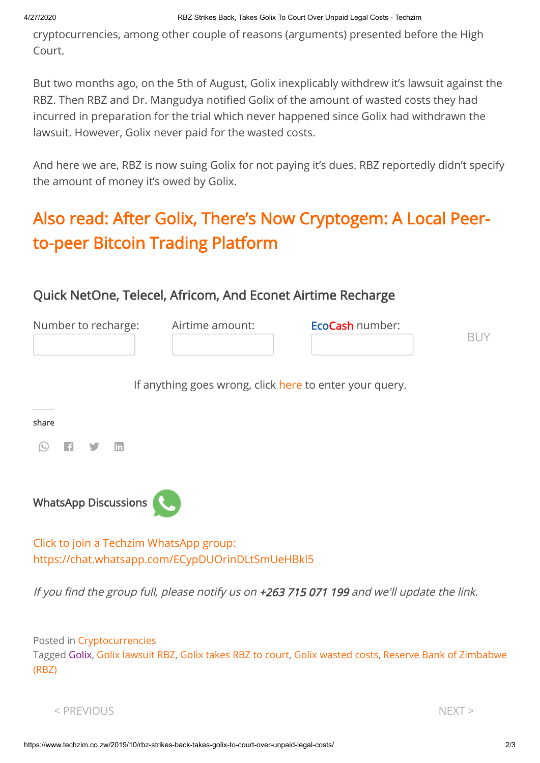cryptocurrencies, among other couple of reasons (arguments) presented before the High Court.

But two months ago, on the 5th of August, Golix inexplicably withdrew it's lawsuit against the RBZ. Then RBZ and Dr. Mangudya notified Golix of the amount of wasted costs they had incurred in preparation for the trial which never happened since Golix had withdrawn the lawsuit. However, Golix never paid for the wasted costs.

And here we are, RBZ is now suing Golix for not paying it's dues. RBZ reportedly didn't specify the amount of money it's owed by Golix.

# [Also read: After Golix, There's Now Cryptogem: A Local Peer](https://www.techzim.co.zw/2019/07/after-golix-theres-now-cryptogem-a-local-peer-to-peer-bitcoin-trading-platform/)to-peer Bitcoin Trading Platform

### Quick NetOne, Telecel, Africom, And Econet Airtime Recharge

| Number to recharge: | EcoCash number:<br>Airtime amount: |  |  |
|---------------------|------------------------------------|--|--|
|                     |                                    |  |  |
|                     |                                    |  |  |

If anything goes wrong, click [here](https://www.techzim.co.zw/airtime-queries/) to enter your query.

#### share

| λ<br>. . | ſε | n |  | m |
|----------|----|---|--|---|
|----------|----|---|--|---|



[Click to join a Techzim WhatsApp group:](https://chat.whatsapp.com/ECypDUOrinDLtSmUeHBkl5) <https://chat.whatsapp.com/ECypDUOrinDLtSmUeHBkl5>

If you find the group full, please notify us on  $+263$  715 071 199 and we'll update the link.

Posted in [Cryptocurrencies](https://www.techzim.co.zw/category/cryptocurrencies/) Tagged [Golix](https://www.techzim.co.zw/tag/golix/), Golix [lawsuit](https://www.techzim.co.zw/tag/golix-lawsuit-rbz/) RBZ, Golix [takes](https://www.techzim.co.zw/tag/golix-takes-rbz-to-court/) RBZ to court, Golix [wasted cost](https://www.techzim.co.zw/tag/golix-wasted-costs/)[s,](https://www.techzim.co.zw/tag/reserve-bank-of-zimbabwe-rbz/) Reserve Bank of Zimbabwe (RBZ)

```
\le PREVIOUS NEXT >
```